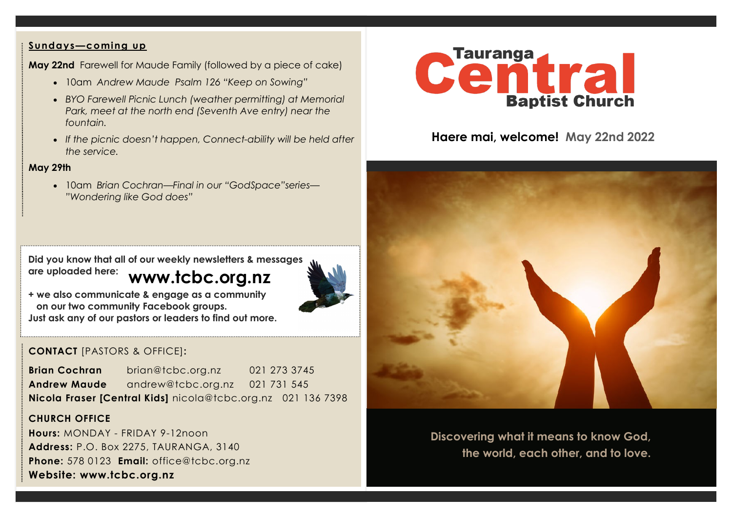### **Sundays—coming up**

**May 22nd** Farewell for Maude Family (followed by a piece of cake)

- 10am *Andrew Maude Psalm 126 "Keep on Sowing"*
- *BYO Farewell Picnic Lunch (weather permitting) at Memorial Park, meet at the north end (Seventh Ave entry) near the fountain.*
- *If the picnic doesn't happen, Connect-ability will be held after the service.*

### **May 29th**

• 10am *Brian Cochran—Final in our "GodSpace"series— "Wondering like God does"*

**www.tcbc.org.nz Did you know that all of our weekly newsletters & messages are uploaded here:** 



**+ we also communicate & engage as a community on our two community Facebook groups. Just ask any of our pastors or leaders to find out more.**

# **CONTACT** [PASTORS & OFFICE]**:**

**Brian Cochran** brian@tcbc.org.nz 021 273 3745 **Andrew Maude** andrew@tcbc.org.nz021 731 545 **Nicola Fraser [Central Kids]** nicola@tcbc.org.nz021 136 7398

### **CHURCH OFFICE**

**Hours:** MONDAY - FRIDAY 9-12noon **Address:** P.O. Box 2275, TAURANGA, 3140 **Phone:** 578 0123 **Email:** office@tcbc.org.nz **Website: www.tcbc.org.nz**



# **Haere mai, welcome! May 22nd 2022**



**Discovering what it means to know God, the world, each other, and to love.**